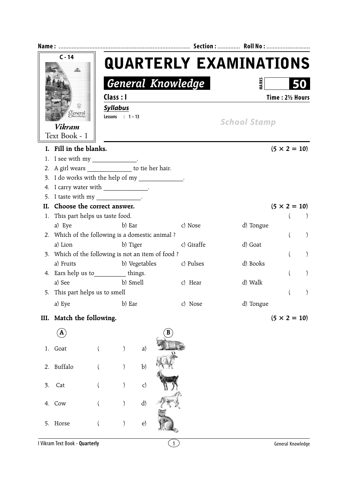|                           | $C - 14$                                                   |          |                  |              |                          |                                  | <b>QUARTERLY EXAMINATIONS</b> |                     |  |  |
|---------------------------|------------------------------------------------------------|----------|------------------|--------------|--------------------------|----------------------------------|-------------------------------|---------------------|--|--|
|                           |                                                            |          |                  |              |                          | <b>MARKS</b><br>Time: 21/2 Hours |                               |                     |  |  |
|                           |                                                            |          |                  |              | <b>General Knowledge</b> |                                  |                               |                     |  |  |
|                           |                                                            |          | Class : I        |              |                          |                                  |                               |                     |  |  |
|                           | Deneral<br>D <sup>knowledge</sup>                          |          | <b>Syllabus</b>  |              |                          |                                  |                               |                     |  |  |
|                           | <b>Vikram</b>                                              |          | Lessons : $1-13$ |              |                          |                                  | <b>School Stamp</b>           |                     |  |  |
|                           | Text Book - 1                                              |          |                  |              |                          |                                  |                               |                     |  |  |
|                           | I. Fill in the blanks.                                     |          |                  |              |                          |                                  |                               | $(5 \times 2 = 10)$ |  |  |
|                           | 1. I see with my _____________.                            |          |                  |              |                          |                                  |                               |                     |  |  |
|                           | 2. A girl wears _________________ to tie her hair.         |          |                  |              |                          |                                  |                               |                     |  |  |
|                           | 3. I do works with the help of my ____________.            |          |                  |              |                          |                                  |                               |                     |  |  |
|                           | 4. I carry water with _____________.                       |          |                  |              |                          |                                  |                               |                     |  |  |
|                           | 5. I taste with my $\frac{1}{2}$ .                         |          |                  |              |                          |                                  |                               |                     |  |  |
|                           | II. Choose the correct answer.                             |          |                  |              |                          |                                  |                               | $(5 \times 2 = 10)$ |  |  |
|                           | 1. This part helps us taste food.                          |          |                  |              |                          |                                  |                               |                     |  |  |
|                           | a) Eye                                                     |          | b) Ear           |              |                          | c) Nose                          | d) Tongue                     |                     |  |  |
|                           | 2. Which of the following is a domestic animal?<br>a) Lion |          | b) Tiger         |              |                          | c) Giraffe                       | d) Goat                       |                     |  |  |
|                           | 3. Which of the following is not an item of food ?         |          |                  |              |                          |                                  |                               |                     |  |  |
|                           | a) Fruits                                                  |          |                  |              | b) Vegetables            | c) Pulses                        | d) Books                      |                     |  |  |
|                           | 4. Ears help us to____________ things.                     |          |                  |              |                          |                                  |                               |                     |  |  |
|                           | a) See                                                     | b) Smell |                  |              |                          | c) Hear                          | d) Walk                       |                     |  |  |
|                           | 5. This part helps us to smell                             |          |                  |              |                          |                                  |                               |                     |  |  |
|                           | a) Eye                                                     |          | b) Ear           |              |                          | c) Nose                          | d) Tongue                     |                     |  |  |
| III. Match the following. |                                                            |          |                  |              |                          |                                  |                               | $(5 \times 2 = 10)$ |  |  |
|                           | A                                                          |          |                  |              |                          |                                  |                               |                     |  |  |
| 1.                        | Goat                                                       |          |                  | a)           |                          |                                  |                               |                     |  |  |
|                           | 2. Buffalo                                                 |          | $\mathcal{E}$    | b)           |                          |                                  |                               |                     |  |  |
| 3.                        | Cat                                                        |          |                  | $\mathsf{C}$ |                          |                                  |                               |                     |  |  |
| 4.                        | Cow                                                        |          |                  | d)           |                          |                                  |                               |                     |  |  |
|                           | 5. Horse                                                   |          | $\mathcal{E}$    | $\epsilon$   |                          |                                  |                               |                     |  |  |
|                           | I Vikram Text Book - Quarterly                             |          |                  |              | $\mathbf{1}$             |                                  |                               | General Knowledge   |  |  |